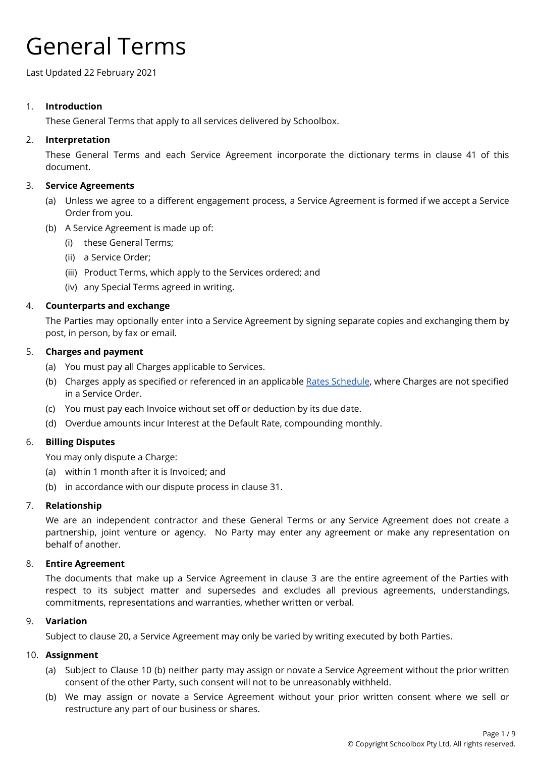# General Terms

Last Updated 22 February 2021

# 1. **Introduction**

These General Terms that apply to all services delivered by Schoolbox.

# 2. **Interpretation**

These General Terms and each Service Agreement incorporate the dictionary terms in clause 41 of this document.

# 3. **Service Agreements**

- (a) Unless we agree to a different engagement process, a Service Agreement is formed if we accept a Service Order from you.
- (b) A Service Agreement is made up of:
	- (i) these General Terms;
	- (ii) a Service Order;
	- (iii) Product Terms, which apply to the Services ordered; and
	- (iv) any Special Terms agreed in writing.

# 4. **Counterparts and exchange**

The Parties may optionally enter into a Service Agreement by signing separate copies and exchanging them by post, in person, by fax or email.

#### 5. **Charges and payment**

- (a) You must pay all Charges applicable to Services.
- (b) Charges apply as specified or referenced in an applicable Rates [Schedule](https://help.schoolbox.com.au/homepage/1301), where Charges are not specified in a Service Order.
- (c) You must pay each Invoice without set off or deduction by its due date.
- (d) Overdue amounts incur Interest at the Default Rate, compounding monthly.

#### 6. **Billing Disputes**

You may only dispute a Charge:

- (a) within 1 month after it is Invoiced; and
- (b) in accordance with our dispute process in clause 31.

#### 7. **Relationship**

We are an independent contractor and these General Terms or any Service Agreement does not create a partnership, joint venture or agency. No Party may enter any agreement or make any representation on behalf of another.

#### 8. **Entire Agreement**

The documents that make up a Service Agreement in clause 3 are the entire agreement of the Parties with respect to its subject matter and supersedes and excludes all previous agreements, understandings, commitments, representations and warranties, whether written or verbal.

#### 9. **Variation**

Subject to clause 20, a Service Agreement may only be varied by writing executed by both Parties.

#### 10. **Assignment**

- (a) Subject to Clause 10 (b) neither party may assign or novate a Service Agreement without the prior written consent of the other Party, such consent will not to be unreasonably withheld.
- (b) We may assign or novate a Service Agreement without your prior written consent where we sell or restructure any part of our business or shares.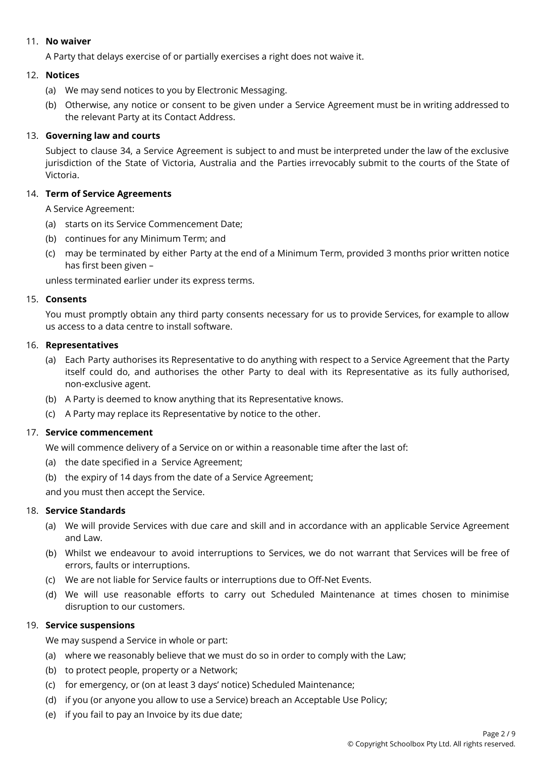## 11. **No waiver**

A Party that delays exercise of or partially exercises a right does not waive it.

# 12. **Notices**

- (a) We may send notices to you by Electronic Messaging.
- (b) Otherwise, any notice or consent to be given under a Service Agreement must be in writing addressed to the relevant Party at its Contact Address.

# 13. **Governing law and courts**

Subject to clause 34, a Service Agreement is subject to and must be interpreted under the law of the exclusive jurisdiction of the State of Victoria, Australia and the Parties irrevocably submit to the courts of the State of Victoria.

# 14. **Term of Service Agreements**

A Service Agreement:

- (a) starts on its Service Commencement Date;
- (b) continues for any Minimum Term; and
- (c) may be terminated by either Party at the end of a Minimum Term, provided 3 months prior written notice has first been given –

unless terminated earlier under its express terms.

#### 15. **Consents**

You must promptly obtain any third party consents necessary for us to provide Services, for example to allow us access to a data centre to install software.

#### 16. **Representatives**

- (a) Each Party authorises its Representative to do anything with respect to a Service Agreement that the Party itself could do, and authorises the other Party to deal with its Representative as its fully authorised, non-exclusive agent.
- (b) A Party is deemed to know anything that its Representative knows.
- (c) A Party may replace its Representative by notice to the other.

# 17. **Service commencement**

We will commence delivery of a Service on or within a reasonable time after the last of:

- (a) the date specified in a Service Agreement;
- (b) the expiry of 14 days from the date of a Service Agreement;

and you must then accept the Service.

#### 18. **Service Standards**

- (a) We will provide Services with due care and skill and in accordance with an applicable Service Agreement and Law.
- (b) Whilst we endeavour to avoid interruptions to Services, we do not warrant that Services will be free of errors, faults or interruptions.
- (c) We are not liable for Service faults or interruptions due to Off-Net Events.
- (d) We will use reasonable efforts to carry out Scheduled Maintenance at times chosen to minimise disruption to our customers.

#### 19. **Service suspensions**

We may suspend a Service in whole or part:

- (a) where we reasonably believe that we must do so in order to comply with the Law;
- (b) to protect people, property or a Network;
- (c) for emergency, or (on at least 3 days' notice) Scheduled Maintenance;
- (d) if you (or anyone you allow to use a Service) breach an Acceptable Use Policy;
- (e) if you fail to pay an Invoice by its due date;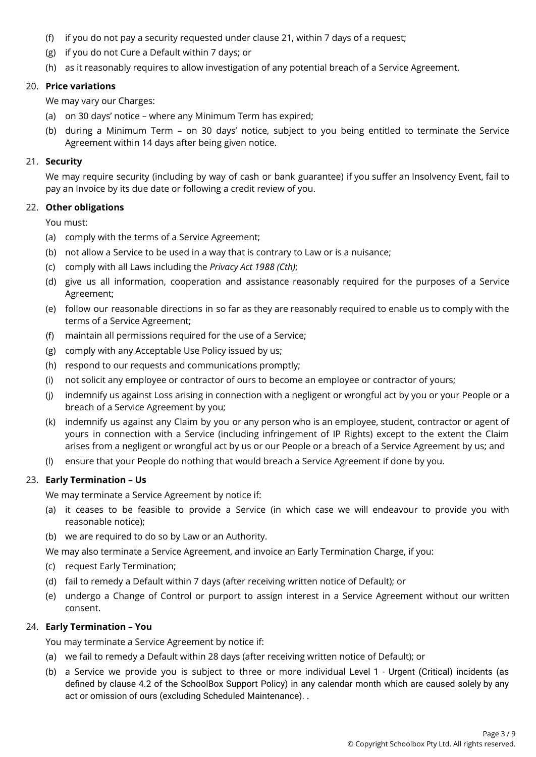- (f) if you do not pay a security requested under clause 21, within 7 days of a request;
- (g) if you do not Cure a Default within 7 days; or
- (h) as it reasonably requires to allow investigation of any potential breach of a Service Agreement.

#### 20. **Price variations**

We may vary our Charges:

- (a) on 30 days' notice where any Minimum Term has expired;
- (b) during a Minimum Term on 30 days' notice, subject to you being entitled to terminate the Service Agreement within 14 days after being given notice.

#### 21. **Security**

We may require security (including by way of cash or bank guarantee) if you suffer an Insolvency Event, fail to pay an Invoice by its due date or following a credit review of you.

#### 22. **Other obligations**

You must:

- (a) comply with the terms of a Service Agreement;
- (b) not allow a Service to be used in a way that is contrary to Law or is a nuisance;
- (c) comply with all Laws including the *Privacy Act 1988 (Cth)*;
- (d) give us all information, cooperation and assistance reasonably required for the purposes of a Service Agreement;
- (e) follow our reasonable directions in so far as they are reasonably required to enable us to comply with the terms of a Service Agreement;
- (f) maintain all permissions required for the use of a Service;
- (g) comply with any Acceptable Use Policy issued by us;
- (h) respond to our requests and communications promptly;
- (i) not solicit any employee or contractor of ours to become an employee or contractor of yours;
- (j) indemnify us against Loss arising in connection with a negligent or wrongful act by you or your People or a breach of a Service Agreement by you;
- (k) indemnify us against any Claim by you or any person who is an employee, student, contractor or agent of yours in connection with a Service (including infringement of IP Rights) except to the extent the Claim arises from a negligent or wrongful act by us or our People or a breach of a Service Agreement by us; and
- (l) ensure that your People do nothing that would breach a Service Agreement if done by you.

#### 23. **Early Termination – Us**

We may terminate a Service Agreement by notice if:

- (a) it ceases to be feasible to provide a Service (in which case we will endeavour to provide you with reasonable notice);
- (b) we are required to do so by Law or an Authority.

We may also terminate a Service Agreement, and invoice an Early Termination Charge, if you:

- (c) request Early Termination;
- (d) fail to remedy a Default within 7 days (after receiving written notice of Default); or
- (e) undergo a Change of Control or purport to assign interest in a Service Agreement without our written consent.

#### 24. **Early Termination – You**

You may terminate a Service Agreement by notice if:

- (a) we fail to remedy a Default within 28 days (after receiving written notice of Default); or
- (b) a Service we provide you is subject to three or more individual Level 1 Urgent (Critical) incidents (as defined by clause 4.2 of the SchoolBox Support Policy) in any calendar month which are caused solely by any act or omission of ours (excluding Scheduled Maintenance). .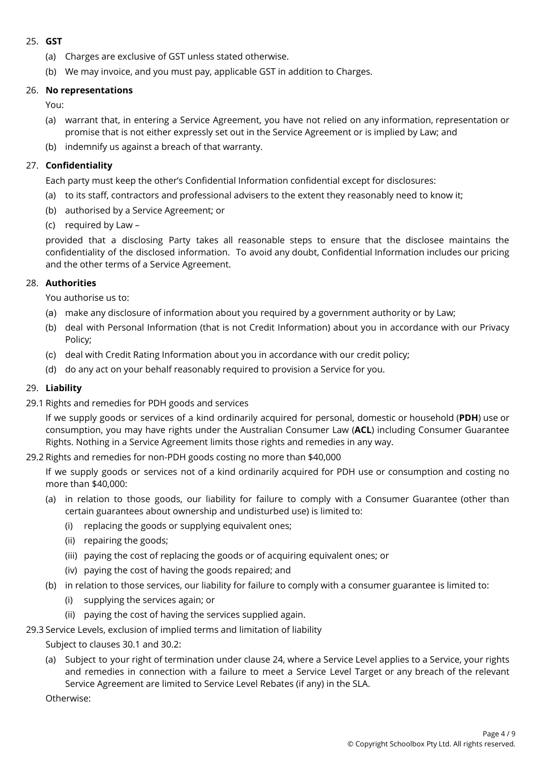# 25. **GST**

- (a) Charges are exclusive of GST unless stated otherwise.
- (b) We may invoice, and you must pay, applicable GST in addition to Charges.

#### 26. **No representations**

You:

- (a) warrant that, in entering a Service Agreement, you have not relied on any information, representation or promise that is not either expressly set out in the Service Agreement or is implied by Law; and
- (b) indemnify us against a breach of that warranty.

#### 27. **Confidentiality**

Each party must keep the other's Confidential Information confidential except for disclosures:

- (a) to its staff, contractors and professional advisers to the extent they reasonably need to know it;
- (b) authorised by a Service Agreement; or
- (c) required by Law –

provided that a disclosing Party takes all reasonable steps to ensure that the disclosee maintains the confidentiality of the disclosed information. To avoid any doubt, Confidential Information includes our pricing and the other terms of a Service Agreement.

#### 28. **Authorities**

You authorise us to:

- (a) make any disclosure of information about you required by a government authority or by Law;
- (b) deal with Personal Information (that is not Credit Information) about you in accordance with our Privacy Policy;
- (c) deal with Credit Rating Information about you in accordance with our credit policy;
- (d) do any act on your behalf reasonably required to provision a Service for you.

#### 29. **Liability**

29.1 Rights and remedies for PDH goods and services

If we supply goods or services of a kind ordinarily acquired for personal, domestic or household (**PDH**) use or consumption, you may have rights under the Australian Consumer Law (**ACL**) including Consumer Guarantee Rights. Nothing in a Service Agreement limits those rights and remedies in any way.

#### 29.2 Rights and remedies for non-PDH goods costing no more than \$40,000

If we supply goods or services not of a kind ordinarily acquired for PDH use or consumption and costing no more than \$40,000:

- (a) in relation to those goods, our liability for failure to comply with a Consumer Guarantee (other than certain guarantees about ownership and undisturbed use) is limited to:
	- (i) replacing the goods or supplying equivalent ones;
	- (ii) repairing the goods;
	- (iii) paying the cost of replacing the goods or of acquiring equivalent ones; or
	- (iv) paying the cost of having the goods repaired; and
- (b) in relation to those services, our liability for failure to comply with a consumer guarantee is limited to:
	- (i) supplying the services again; or
	- (ii) paying the cost of having the services supplied again.
- 29.3 Service Levels, exclusion of implied terms and limitation of liability
	- Subject to clauses 30.1 and 30.2:
	- (a) Subject to your right of termination under clause 24, where a Service Level applies to a Service, your rights and remedies in connection with a failure to meet a Service Level Target or any breach of the relevant Service Agreement are limited to Service Level Rebates (if any) in the SLA.

Otherwise: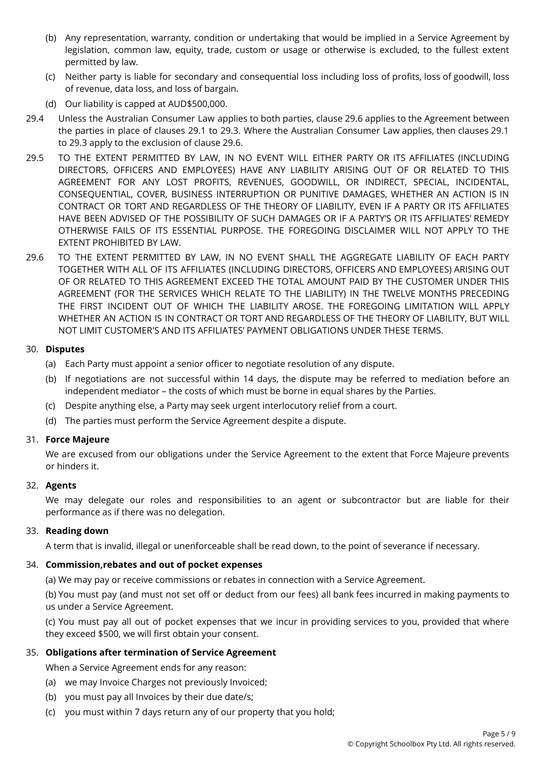- (b) Any representation, warranty, condition or undertaking that would be implied in a Service Agreement by legislation, common law, equity, trade, custom or usage or otherwise is excluded, to the fullest extent permitted by law.
- (c) Neither party is liable for secondary and consequential loss including loss of profits, loss of goodwill, loss of revenue, data loss, and loss of bargain.
- (d) Our liability is capped at AUD\$500,000.
- 29.4 Unless the Australian Consumer Law applies to both parties, clause 29.6 applies to the Agreement between the parties in place of clauses 29.1 to 29.3. Where the Australian Consumer Law applies, then clauses 29.1 to 29.3 apply to the exclusion of clause 29.6.
- 29.5 TO THE EXTENT PERMITTED BY LAW, IN NO EVENT WILL EITHER PARTY OR ITS AFFILIATES (INCLUDING DIRECTORS, OFFICERS AND EMPLOYEES) HAVE ANY LIABILITY ARISING OUT OF OR RELATED TO THIS AGREEMENT FOR ANY LOST PROFITS, REVENUES, GOODWILL, OR INDIRECT, SPECIAL, INCIDENTAL, CONSEQUENTIAL, COVER, BUSINESS INTERRUPTION OR PUNITIVE DAMAGES, WHETHER AN ACTION IS IN CONTRACT OR TORT AND REGARDLESS OF THE THEORY OF LIABILITY, EVEN IF A PARTY OR ITS AFFILIATES HAVE BEEN ADVISED OF THE POSSIBILITY OF SUCH DAMAGES OR IF A PARTY'S OR ITS AFFILIATES' REMEDY OTHERWISE FAILS OF ITS ESSENTIAL PURPOSE. THE FOREGOING DISCLAIMER WILL NOT APPLY TO THE EXTENT PROHIBITED BY LAW.
- 29.6 TO THE EXTENT PERMITTED BY LAW, IN NO EVENT SHALL THE AGGREGATE LIABILITY OF EACH PARTY TOGETHER WITH ALL OF ITS AFFILIATES (INCLUDING DIRECTORS, OFFICERS AND EMPLOYEES) ARISING OUT OF OR RELATED TO THIS AGREEMENT EXCEED THE TOTAL AMOUNT PAID BY THE CUSTOMER UNDER THIS AGREEMENT (FOR THE SERVICES WHICH RELATE TO THE LIABILITY) IN THE TWELVE MONTHS PRECEDING THE FIRST INCIDENT OUT OF WHICH THE LIABILITY AROSE. THE FOREGOING LIMITATION WILL APPLY WHETHER AN ACTION IS IN CONTRACT OR TORT AND REGARDLESS OF THE THEORY OF LIABILITY, BUT WILL NOT LIMIT CUSTOMER'S AND ITS AFFILIATES' PAYMENT OBLIGATIONS UNDER THESE TERMS.

## 30. **Disputes**

- (a) Each Party must appoint a senior officer to negotiate resolution of any dispute.
- (b) If negotiations are not successful within 14 days, the dispute may be referred to mediation before an independent mediator – the costs of which must be borne in equal shares by the Parties.
- (c) Despite anything else, a Party may seek urgent interlocutory relief from a court.
- (d) The parties must perform the Service Agreement despite a dispute.

#### 31. **Force Majeure**

We are excused from our obligations under the Service Agreement to the extent that Force Majeure prevents or hinders it.

#### 32. **Agents**

We may delegate our roles and responsibilities to an agent or subcontractor but are liable for their performance as if there was no delegation.

## 33. **Reading down**

A term that is invalid, illegal or unenforceable shall be read down, to the point of severance if necessary.

#### 34. **Commission,rebates and out of pocket expenses**

(a) We may pay or receive commissions or rebates in connection with a Service Agreement.

(b) You must pay (and must not set off or deduct from our fees) all bank fees incurred in making payments to us under a Service Agreement.

(c) You must pay all out of pocket expenses that we incur in providing services to you, provided that where they exceed \$500, we will first obtain your consent.

#### 35. **Obligations after termination of Service Agreement**

When a Service Agreement ends for any reason:

- (a) we may Invoice Charges not previously Invoiced;
- (b) you must pay all Invoices by their due date/s;
- (c) you must within 7 days return any of our property that you hold;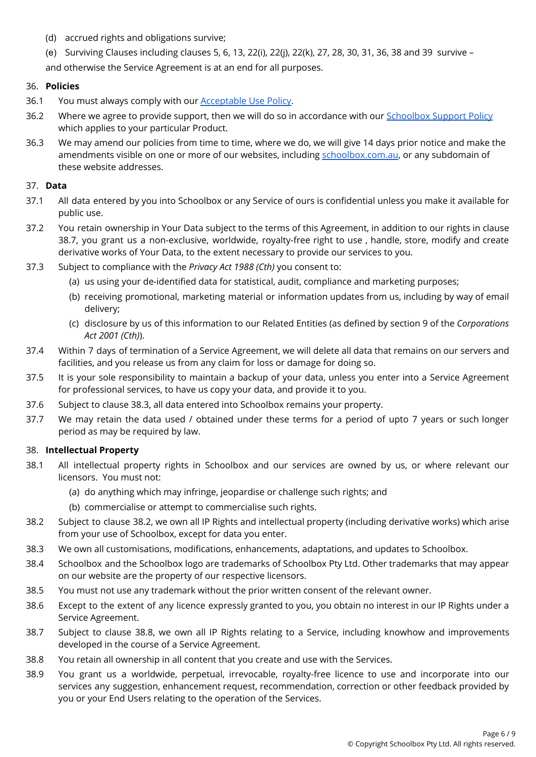- (d) accrued rights and obligations survive;
- (e) Surviving Clauses including clauses 5, 6, 13, 22(i), 22(j), 22(k), 27, 28, 30, 31, 36, 38 and 39 survive and otherwise the Service Agreement is at an end for all purposes.

#### 36. **Policies**

- 36.1 You must always comply with our **[Acceptable](https://schoolbox.com.au/legal/acceptable-use-policy/) Use Policy**.
- 36.2 Where we agree to provide support, then we will do so in accordance with our [Schoolbox](https://schoolbox.com.au/legal/schoolbox-support-policy/) Support Policy which applies to your particular Product.
- 36.3 We may amend our policies from time to time, where we do, we will give 14 days prior notice and make the amendments visible on one or more of our websites, including [schoolbox.com.au](http://www.schoolbox.com.au), [or](http://www.alaress.com.au) [any](http://www.alaress.com.au) s[ubdomain](http://www.alaress.com.au) [of](http://www.alaress.com.au) [t](http://www.alaress.com.au)h[e](http://www.alaress.com.au)s[e](http://www.alaress.com.au) [website](http://www.alaress.com.au) [addre](http://www.alaress.com.au)s[ses](http://www.alaress.com.au).

#### 37. **Data**

- 37.1 All data entered by you into Schoolbox or any Service of ours is confidential unless you make it available for public use.
- 37.2 You retain ownership in Your Data subject to the terms of this Agreement, in addition to our rights in clause 38.7, you grant us a non-exclusive, worldwide, royalty-free right to use , handle, store, modify and create derivative works of Your Data, to the extent necessary to provide our services to you.
- 37.3 Subject to compliance with the *Privacy Act 1988 (Cth)* you consent to:
	- (a) us using your de-identified data for statistical, audit, compliance and marketing purposes;
	- (b) receiving promotional, marketing material or information updates from us, including by way of email delivery;
	- (c) disclosure by us of this information to our Related Entities (as defined by section 9 of the *Corporations Act 2001 (Cth)*).
- 37.4 Within 7 days of termination of a Service Agreement, we will delete all data that remains on our servers and facilities, and you release us from any claim for loss or damage for doing so.
- 37.5 It is your sole responsibility to maintain a backup of your data, unless you enter into a Service Agreement for professional services, to have us copy your data, and provide it to you.
- 37.6 Subject to clause 38.3, all data entered into Schoolbox remains your property.
- 37.7 We may retain the data used / obtained under these terms for a period of upto 7 years or such longer period as may be required by law.

#### 38. **Intellectual Property**

- 38.1 All intellectual property rights in Schoolbox and our services are owned by us, or where relevant our licensors. You must not:
	- (a) do anything which may infringe, jeopardise or challenge such rights; and
	- (b) commercialise or attempt to commercialise such rights.
- 38.2 Subject to clause 38.2, we own all IP Rights and intellectual property (including derivative works) which arise from your use of Schoolbox, except for data you enter.
- 38.3 We own all customisations, modifications, enhancements, adaptations, and updates to Schoolbox.
- 38.4 Schoolbox and the Schoolbox logo are trademarks of Schoolbox Pty Ltd. Other trademarks that may appear on our website are the property of our respective licensors.
- 38.5 You must not use any trademark without the prior written consent of the relevant owner.
- 38.6 Except to the extent of any licence expressly granted to you, you obtain no interest in our IP Rights under a Service Agreement.
- 38.7 Subject to clause 38.8, we own all IP Rights relating to a Service, including knowhow and improvements developed in the course of a Service Agreement.
- 38.8 You retain all ownership in all content that you create and use with the Services.
- 38.9 You grant us a worldwide, perpetual, irrevocable, royalty-free licence to use and incorporate into our services any suggestion, enhancement request, recommendation, correction or other feedback provided by you or your End Users relating to the operation of the Services.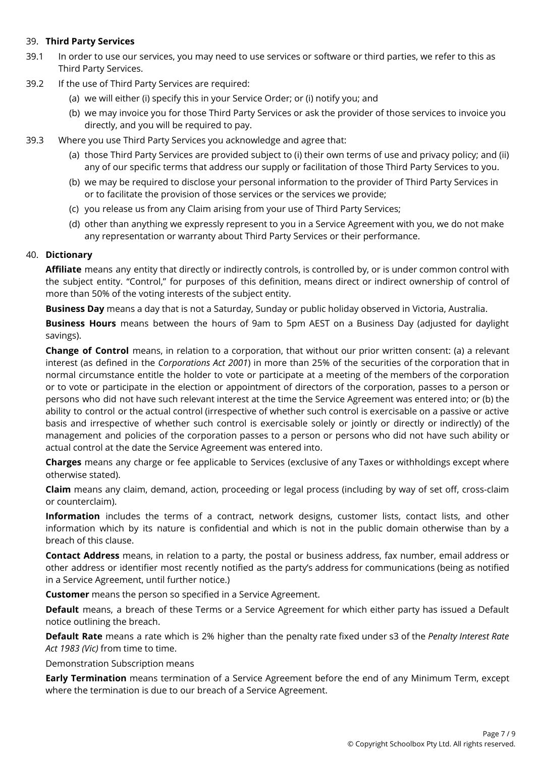# 39. **Third Party Services**

- 39.1 In order to use our services, you may need to use services or software or third parties, we refer to this as Third Party Services.
- 39.2 If the use of Third Party Services are required:
	- (a) we will either (i) specify this in your Service Order; or (i) notify you; and
	- (b) we may invoice you for those Third Party Services or ask the provider of those services to invoice you directly, and you will be required to pay.
- 39.3 Where you use Third Party Services you acknowledge and agree that:
	- (a) those Third Party Services are provided subject to (i) their own terms of use and privacy policy; and (ii) any of our specific terms that address our supply or facilitation of those Third Party Services to you.
	- (b) we may be required to disclose your personal information to the provider of Third Party Services in or to facilitate the provision of those services or the services we provide;
	- (c) you release us from any Claim arising from your use of Third Party Services;
	- (d) other than anything we expressly represent to you in a Service Agreement with you, we do not make any representation or warranty about Third Party Services or their performance.

# 40. **Dictionary**

**Affiliate** means any entity that directly or indirectly controls, is controlled by, or is under common control with the subject entity. "Control," for purposes of this definition, means direct or indirect ownership of control of more than 50% of the voting interests of the subject entity.

**Business Day** means a day that is not a Saturday, Sunday or public holiday observed in Victoria, Australia.

**Business Hours** means between the hours of 9am to 5pm AEST on a Business Day (adjusted for daylight savings).

**Change of Control** means, in relation to a corporation, that without our prior written consent: (a) a relevant interest (as defined in the *Corporations Act 2001*) in more than 25% of the securities of the corporation that in normal circumstance entitle the holder to vote or participate at a meeting of the members of the corporation or to vote or participate in the election or appointment of directors of the corporation, passes to a person or persons who did not have such relevant interest at the time the Service Agreement was entered into; or (b) the ability to control or the actual control (irrespective of whether such control is exercisable on a passive or active basis and irrespective of whether such control is exercisable solely or jointly or directly or indirectly) of the management and policies of the corporation passes to a person or persons who did not have such ability or actual control at the date the Service Agreement was entered into.

**Charges** means any charge or fee applicable to Services (exclusive of any Taxes or withholdings except where otherwise stated).

**Claim** means any claim, demand, action, proceeding or legal process (including by way of set off, cross-claim or counterclaim).

**Information** includes the terms of a contract, network designs, customer lists, contact lists, and other information which by its nature is confidential and which is not in the public domain otherwise than by a breach of this clause.

**Contact Address** means, in relation to a party, the postal or business address, fax number, email address or other address or identifier most recently notified as the party's address for communications (being as notified in a Service Agreement, until further notice.)

**Customer** means the person so specified in a Service Agreement.

**Default** means, a breach of these Terms or a Service Agreement for which either party has issued a Default notice outlining the breach.

**Default Rate** means a rate which is 2% higher than the penalty rate fixed under s3 of the *Penalty Interest Rate Act 1983 (Vic)* from time to time.

Demonstration Subscription means

**Early Termination** means termination of a Service Agreement before the end of any Minimum Term, except where the termination is due to our breach of a Service Agreement.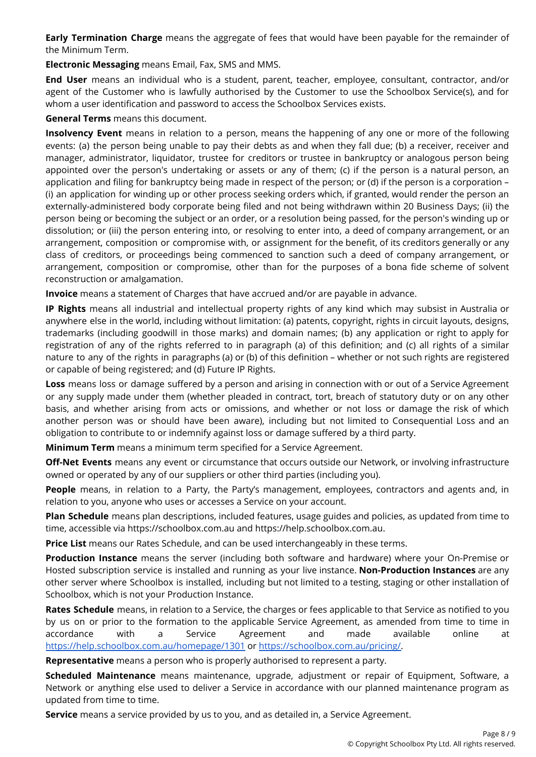**Early Termination Charge** means the aggregate of fees that would have been payable for the remainder of the Minimum Term.

**Electronic Messaging** means Email, Fax, SMS and MMS.

**End User** means an individual who is a student, parent, teacher, employee, consultant, contractor, and/or agent of the Customer who is lawfully authorised by the Customer to use the Schoolbox Service(s), and for whom a user identification and password to access the Schoolbox Services exists.

# **General Terms** means this document.

**Insolvency Event** means in relation to a person, means the happening of any one or more of the following events: (a) the person being unable to pay their debts as and when they fall due; (b) a receiver, receiver and manager, administrator, liquidator, trustee for creditors or trustee in bankruptcy or analogous person being appointed over the person's undertaking or assets or any of them; (c) if the person is a natural person, an application and filing for bankruptcy being made in respect of the person; or (d) if the person is a corporation – (i) an application for winding up or other process seeking orders which, if granted, would render the person an externally-administered body corporate being filed and not being withdrawn within 20 Business Days; (ii) the person being or becoming the subject or an order, or a resolution being passed, for the person's winding up or dissolution; or (iii) the person entering into, or resolving to enter into, a deed of company arrangement, or an arrangement, composition or compromise with, or assignment for the benefit, of its creditors generally or any class of creditors, or proceedings being commenced to sanction such a deed of company arrangement, or arrangement, composition or compromise, other than for the purposes of a bona fide scheme of solvent reconstruction or amalgamation.

**Invoice** means a statement of Charges that have accrued and/or are payable in advance.

**IP Rights** means all industrial and intellectual property rights of any kind which may subsist in Australia or anywhere else in the world, including without limitation: (a) patents, copyright, rights in circuit layouts, designs, trademarks (including goodwill in those marks) and domain names; (b) any application or right to apply for registration of any of the rights referred to in paragraph (a) of this definition; and (c) all rights of a similar nature to any of the rights in paragraphs (a) or (b) of this definition – whether or not such rights are registered or capable of being registered; and (d) Future IP Rights.

**Loss** means loss or damage suffered by a person and arising in connection with or out of a Service Agreement or any supply made under them (whether pleaded in contract, tort, breach of statutory duty or on any other basis, and whether arising from acts or omissions, and whether or not loss or damage the risk of which another person was or should have been aware), including but not limited to Consequential Loss and an obligation to contribute to or indemnify against loss or damage suffered by a third party.

**Minimum Term** means a minimum term specified for a Service Agreement.

**Off-Net Events** means any event or circumstance that occurs outside our Network, or involving infrastructure owned or operated by any of our suppliers or other third parties (including you).

**People** means, in relation to a Party, the Party's management, employees, contractors and agents and, in relation to you, anyone who uses or accesses a Service on your account.

**Plan Schedule** means plan descriptions, included features, usage guides and policies, as updated from time to time, accessible via https://schoolbox.com.au and https://help.schoolbox.com.au.

**Price List** means our Rates Schedule, and can be used interchangeably in these terms.

**Production Instance** means the server (including both software and hardware) where your On-Premise or Hosted subscription service is installed and running as your live instance. **Non-Production Instances** are any other server where Schoolbox is installed, including but not limited to a testing, staging or other installation of Schoolbox, which is not your Production Instance.

**Rates Schedule** means, in relation to a Service, the charges or fees applicable to that Service as notified to you by us on or prior to the formation to the applicable Service Agreement, as amended from time to time in accordance with a Service Agreement and made available online at <https://help.schoolbox.com.au/homepage/1301> or [https://schoolbox.com.au/pricing/.](https://schoolbox.com.au/pricing/)

**Representative** means a person who is properly authorised to represent a party.

**Scheduled Maintenance** means maintenance, upgrade, adjustment or repair of Equipment, Software, a Network or anything else used to deliver a Service in accordance with our planned maintenance program as updated from time to time.

**Service** means a service provided by us to you, and as detailed in, a Service Agreement.